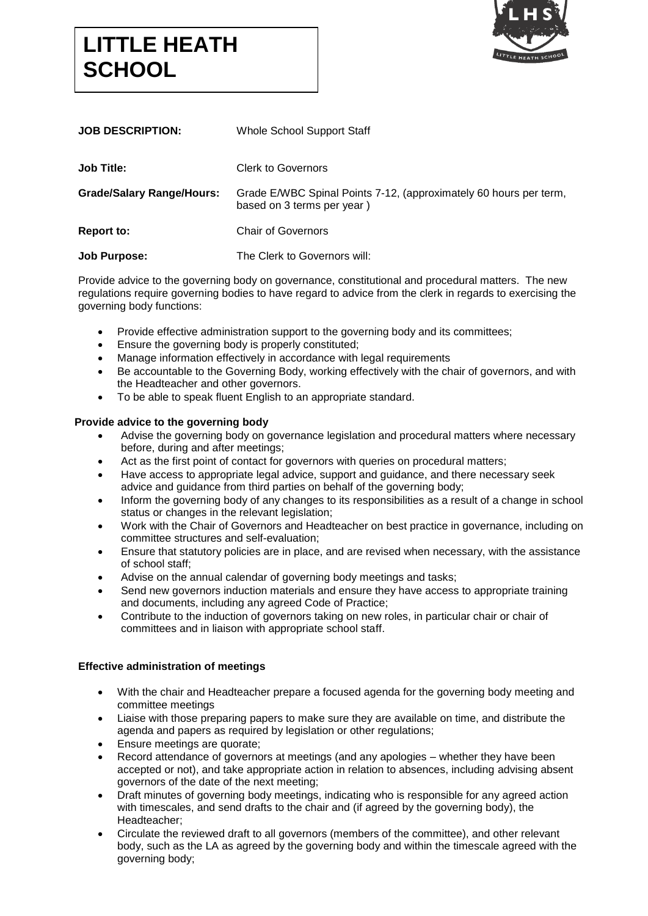# **LITTLE HEATH SCHOOL**



| <b>JOB DESCRIPTION:</b>          | Whole School Support Staff                                                                      |
|----------------------------------|-------------------------------------------------------------------------------------------------|
| <b>Job Title:</b>                | Clerk to Governors                                                                              |
| <b>Grade/Salary Range/Hours:</b> | Grade E/WBC Spinal Points 7-12, (approximately 60 hours per term,<br>based on 3 terms per year) |
| <b>Report to:</b>                | <b>Chair of Governors</b>                                                                       |
| <b>Job Purpose:</b>              | The Clerk to Governors will:                                                                    |

Provide advice to the governing body on governance, constitutional and procedural matters. The new regulations require governing bodies to have regard to advice from the clerk in regards to exercising the governing body functions:

- Provide effective administration support to the governing body and its committees;
- Ensure the governing body is properly constituted;
- Manage information effectively in accordance with legal requirements
- Be accountable to the Governing Body, working effectively with the chair of governors, and with the Headteacher and other governors.
- To be able to speak fluent English to an appropriate standard.

### **Provide advice to the governing body**

- Advise the governing body on governance legislation and procedural matters where necessary before, during and after meetings;
- Act as the first point of contact for governors with queries on procedural matters;
- Have access to appropriate legal advice, support and guidance, and there necessary seek advice and guidance from third parties on behalf of the governing body;
- Inform the governing body of any changes to its responsibilities as a result of a change in school status or changes in the relevant legislation;
- Work with the Chair of Governors and Headteacher on best practice in governance, including on committee structures and self-evaluation;
- Ensure that statutory policies are in place, and are revised when necessary, with the assistance of school staff;
- Advise on the annual calendar of governing body meetings and tasks;
- Send new governors induction materials and ensure they have access to appropriate training and documents, including any agreed Code of Practice;
- Contribute to the induction of governors taking on new roles, in particular chair or chair of committees and in liaison with appropriate school staff.

## **Effective administration of meetings**

- With the chair and Headteacher prepare a focused agenda for the governing body meeting and committee meetings
- Liaise with those preparing papers to make sure they are available on time, and distribute the agenda and papers as required by legislation or other regulations;
- Ensure meetings are quorate;
- Record attendance of governors at meetings (and any apologies whether they have been accepted or not), and take appropriate action in relation to absences, including advising absent governors of the date of the next meeting;
- Draft minutes of governing body meetings, indicating who is responsible for any agreed action with timescales, and send drafts to the chair and (if agreed by the governing body), the Headteacher;
- Circulate the reviewed draft to all governors (members of the committee), and other relevant body, such as the LA as agreed by the governing body and within the timescale agreed with the governing body;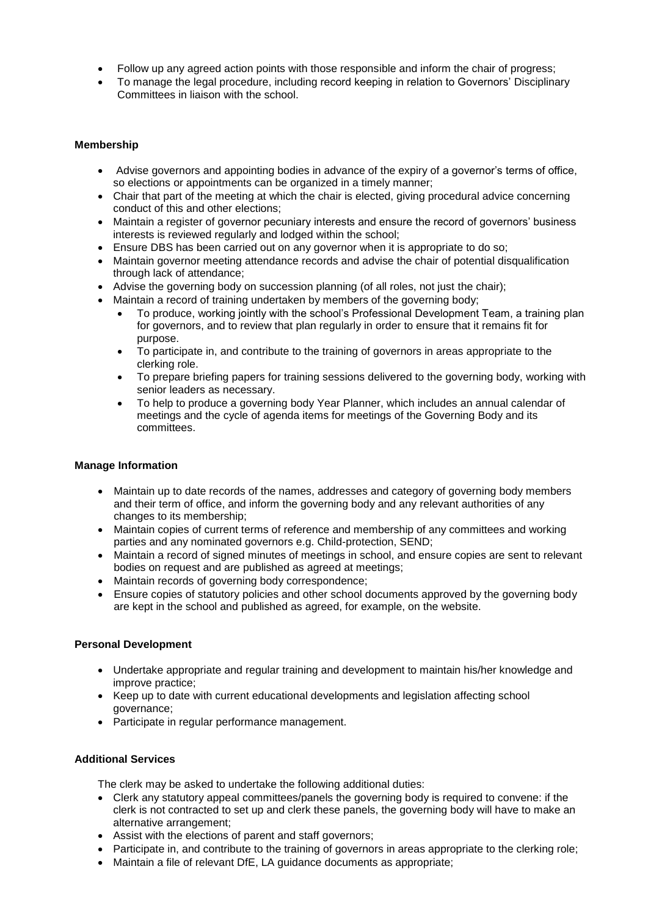- Follow up any agreed action points with those responsible and inform the chair of progress;
- To manage the legal procedure, including record keeping in relation to Governors' Disciplinary Committees in liaison with the school.

## **Membership**

- Advise governors and appointing bodies in advance of the expiry of a governor's terms of office, so elections or appointments can be organized in a timely manner;
- Chair that part of the meeting at which the chair is elected, giving procedural advice concerning conduct of this and other elections;
- Maintain a register of governor pecuniary interests and ensure the record of governors' business interests is reviewed regularly and lodged within the school;
- Ensure DBS has been carried out on any governor when it is appropriate to do so;
- Maintain governor meeting attendance records and advise the chair of potential disqualification through lack of attendance;
- Advise the governing body on succession planning (of all roles, not just the chair);
- Maintain a record of training undertaken by members of the governing body;
	- To produce, working jointly with the school's Professional Development Team, a training plan for governors, and to review that plan regularly in order to ensure that it remains fit for purpose.
	- To participate in, and contribute to the training of governors in areas appropriate to the clerking role.
	- To prepare briefing papers for training sessions delivered to the governing body, working with senior leaders as necessary.
	- To help to produce a governing body Year Planner, which includes an annual calendar of meetings and the cycle of agenda items for meetings of the Governing Body and its committees.

## **Manage Information**

- Maintain up to date records of the names, addresses and category of governing body members and their term of office, and inform the governing body and any relevant authorities of any changes to its membership;
- Maintain copies of current terms of reference and membership of any committees and working parties and any nominated governors e.g. Child-protection, SEND;
- Maintain a record of signed minutes of meetings in school, and ensure copies are sent to relevant bodies on request and are published as agreed at meetings;
- Maintain records of governing body correspondence;
- Ensure copies of statutory policies and other school documents approved by the governing body are kept in the school and published as agreed, for example, on the website.

## **Personal Development**

- Undertake appropriate and regular training and development to maintain his/her knowledge and improve practice;
- Keep up to date with current educational developments and legislation affecting school governance;
- Participate in regular performance management.

## **Additional Services**

The clerk may be asked to undertake the following additional duties:

- Clerk any statutory appeal committees/panels the governing body is required to convene: if the clerk is not contracted to set up and clerk these panels, the governing body will have to make an alternative arrangement;
- Assist with the elections of parent and staff governors;
- Participate in, and contribute to the training of governors in areas appropriate to the clerking role;
- Maintain a file of relevant DfE, LA guidance documents as appropriate;